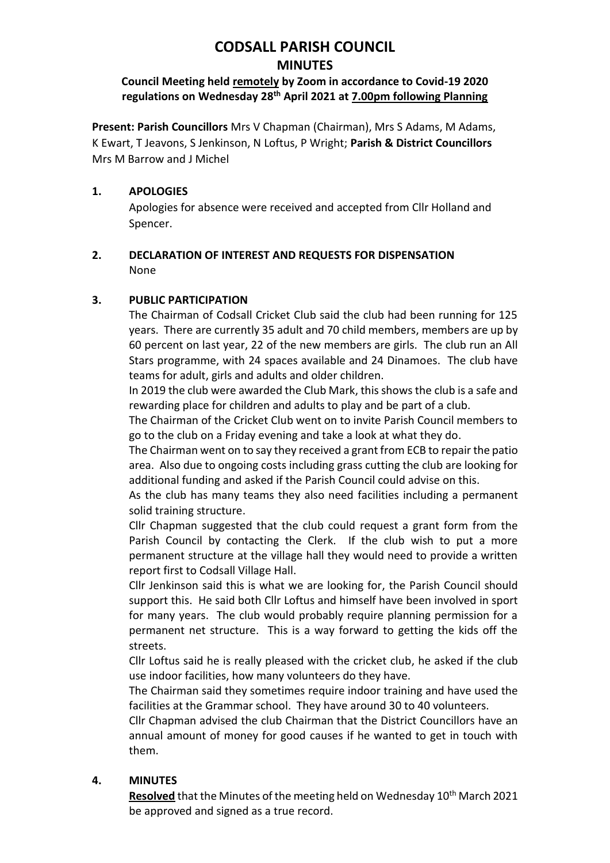# **CODSALL PARISH COUNCIL MINUTES**

## **Council Meeting held remotely by Zoom in accordance to Covid-19 2020 regulations on Wednesday 28th April 2021 at 7.00pm following Planning**

**Present: Parish Councillors** Mrs V Chapman (Chairman), Mrs S Adams, M Adams, K Ewart, T Jeavons, S Jenkinson, N Loftus, P Wright; **Parish & District Councillors**  Mrs M Barrow and J Michel

## **1. APOLOGIES**

Apologies for absence were received and accepted from Cllr Holland and Spencer.

## **2. DECLARATION OF INTEREST AND REQUESTS FOR DISPENSATION** None

# **3. PUBLIC PARTICIPATION**

The Chairman of Codsall Cricket Club said the club had been running for 125 years. There are currently 35 adult and 70 child members, members are up by 60 percent on last year, 22 of the new members are girls. The club run an All Stars programme, with 24 spaces available and 24 Dinamoes. The club have teams for adult, girls and adults and older children.

In 2019 the club were awarded the Club Mark, this shows the club is a safe and rewarding place for children and adults to play and be part of a club.

The Chairman of the Cricket Club went on to invite Parish Council members to go to the club on a Friday evening and take a look at what they do.

The Chairman went on to say they received a grant from ECB to repair the patio area. Also due to ongoing costs including grass cutting the club are looking for additional funding and asked if the Parish Council could advise on this.

As the club has many teams they also need facilities including a permanent solid training structure.

Cllr Chapman suggested that the club could request a grant form from the Parish Council by contacting the Clerk. If the club wish to put a more permanent structure at the village hall they would need to provide a written report first to Codsall Village Hall.

Cllr Jenkinson said this is what we are looking for, the Parish Council should support this. He said both Cllr Loftus and himself have been involved in sport for many years. The club would probably require planning permission for a permanent net structure. This is a way forward to getting the kids off the streets.

Cllr Loftus said he is really pleased with the cricket club, he asked if the club use indoor facilities, how many volunteers do they have.

The Chairman said they sometimes require indoor training and have used the facilities at the Grammar school. They have around 30 to 40 volunteers.

Cllr Chapman advised the club Chairman that the District Councillors have an annual amount of money for good causes if he wanted to get in touch with them.

# **4. MINUTES**

**Resolved** that the Minutes of the meeting held on Wednesday 10<sup>th</sup> March 2021 be approved and signed as a true record.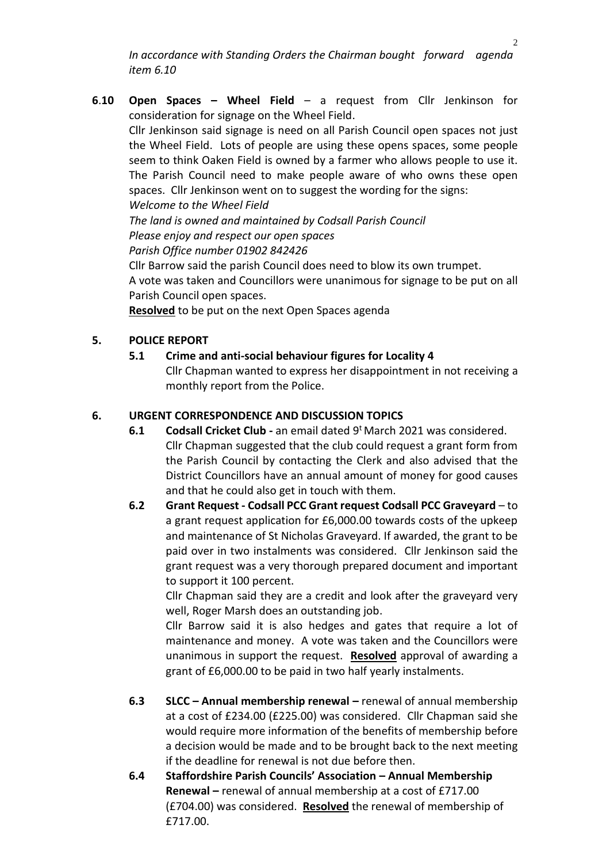*In accordance with Standing Orders the Chairman bought forward agenda item 6.10*

**6**.**10 Open Spaces – Wheel Field** – a request from Cllr Jenkinson for consideration for signage on the Wheel Field. Cllr Jenkinson said signage is need on all Parish Council open spaces not just the Wheel Field. Lots of people are using these opens spaces, some people seem to think Oaken Field is owned by a farmer who allows people to use it. The Parish Council need to make people aware of who owns these open spaces. Cllr Jenkinson went on to suggest the wording for the signs: *Welcome to the Wheel Field The land is owned and maintained by Codsall Parish Council Please enjoy and respect our open spaces Parish Office number 01902 842426* Cllr Barrow said the parish Council does need to blow its own trumpet.

A vote was taken and Councillors were unanimous for signage to be put on all Parish Council open spaces.

**Resolved** to be put on the next Open Spaces agenda

#### **5. POLICE REPORT**

**5.1 Crime and anti-social behaviour figures for Locality 4** Cllr Chapman wanted to express her disappointment in not receiving a monthly report from the Police.

#### **6. URGENT CORRESPONDENCE AND DISCUSSION TOPICS**

- **6.1 Codsall Cricket Club -** an email dated 9<sup>t</sup> March 2021 was considered. Cllr Chapman suggested that the club could request a grant form from the Parish Council by contacting the Clerk and also advised that the District Councillors have an annual amount of money for good causes and that he could also get in touch with them.
- **6.2 Grant Request - Codsall PCC Grant request Codsall PCC Graveyard**  to a grant request application for £6,000.00 towards costs of the upkeep and maintenance of St Nicholas Graveyard. If awarded, the grant to be paid over in two instalments was considered. Cllr Jenkinson said the grant request was a very thorough prepared document and important to support it 100 percent.

Cllr Chapman said they are a credit and look after the graveyard very well, Roger Marsh does an outstanding job.

Cllr Barrow said it is also hedges and gates that require a lot of maintenance and money. A vote was taken and the Councillors were unanimous in support the request. **Resolved** approval of awarding a grant of £6,000.00 to be paid in two half yearly instalments.

- **6.3 SLCC – Annual membership renewal –** renewal of annual membership at a cost of £234.00 (£225.00) was considered. Cllr Chapman said she would require more information of the benefits of membership before a decision would be made and to be brought back to the next meeting if the deadline for renewal is not due before then.
- **6.4 Staffordshire Parish Councils' Association – Annual Membership Renewal –** renewal of annual membership at a cost of £717.00 (£704.00) was considered. **Resolved** the renewal of membership of £717.00.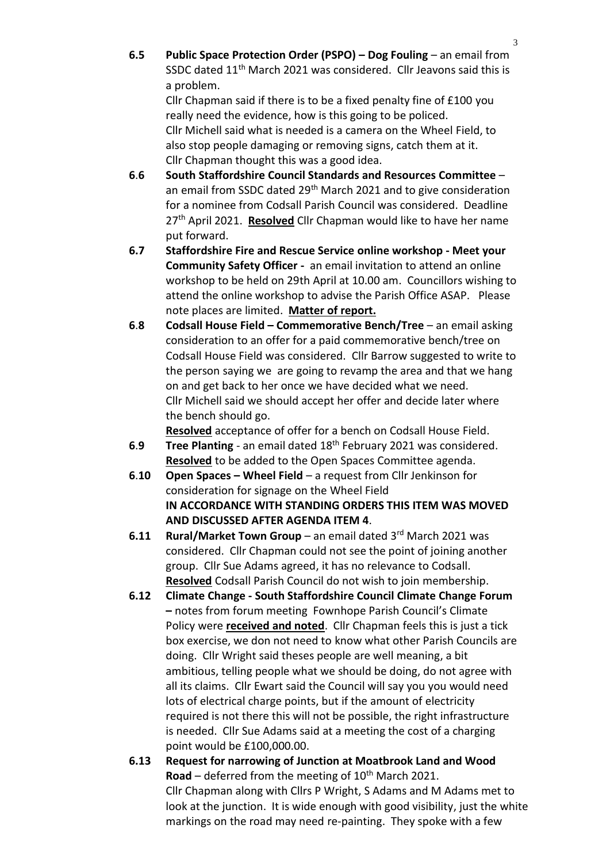**6.5 Public Space Protection Order (PSPO) – Dog Fouling** – an email from SSDC dated 11<sup>th</sup> March 2021 was considered. Cllr Jeavons said this is a problem.

Cllr Chapman said if there is to be a fixed penalty fine of £100 you really need the evidence, how is this going to be policed. Cllr Michell said what is needed is a camera on the Wheel Field, to also stop people damaging or removing signs, catch them at it. Cllr Chapman thought this was a good idea.

- **6**.**6 South Staffordshire Council Standards and Resources Committee** an email from SSDC dated 29<sup>th</sup> March 2021 and to give consideration for a nominee from Codsall Parish Council was considered. Deadline 27th April 2021. **Resolved** Cllr Chapman would like to have her name put forward.
- **6.7 Staffordshire Fire and Rescue Service online workshop - Meet your Community Safety Officer -** an email invitation to attend an online workshop to be held on 29th April at 10.00 am. Councillors wishing to attend the online workshop to advise the Parish Office ASAP. Please note places are limited. **Matter of report.**
- **6**.**8 Codsall House Field – Commemorative Bench/Tree** an email asking consideration to an offer for a paid commemorative bench/tree on Codsall House Field was considered. Cllr Barrow suggested to write to the person saying we are going to revamp the area and that we hang on and get back to her once we have decided what we need. Cllr Michell said we should accept her offer and decide later where the bench should go.

**Resolved** acceptance of offer for a bench on Codsall House Field.

- **6**.**9 Tree Planting**  an email dated 18th February 2021 was considered. **Resolved** to be added to the Open Spaces Committee agenda.
- **6**.**10 Open Spaces – Wheel Field**  a request from Cllr Jenkinson for consideration for signage on the Wheel Field **IN ACCORDANCE WITH STANDING ORDERS THIS ITEM WAS MOVED AND DISCUSSED AFTER AGENDA ITEM 4**.
- **6.11 Rural/Market Town Group** an email dated 3rd March 2021 was considered. Cllr Chapman could not see the point of joining another group. Cllr Sue Adams agreed, it has no relevance to Codsall. **Resolved** Codsall Parish Council do not wish to join membership.
- **6.12 Climate Change - South Staffordshire Council Climate Change Forum –** notes from forum meeting Fownhope Parish Council's Climate Policy were **received and noted**. Cllr Chapman feels this is just a tick box exercise, we don not need to know what other Parish Councils are doing. Cllr Wright said theses people are well meaning, a bit ambitious, telling people what we should be doing, do not agree with all its claims. Cllr Ewart said the Council will say you you would need lots of electrical charge points, but if the amount of electricity required is not there this will not be possible, the right infrastructure is needed. Cllr Sue Adams said at a meeting the cost of a charging point would be £100,000.00.
- **6.13 Request for narrowing of Junction at Moatbrook Land and Wood Road** – deferred from the meeting of  $10<sup>th</sup>$  March 2021. Cllr Chapman along with Cllrs P Wright, S Adams and M Adams met to look at the junction. It is wide enough with good visibility, just the white markings on the road may need re-painting. They spoke with a few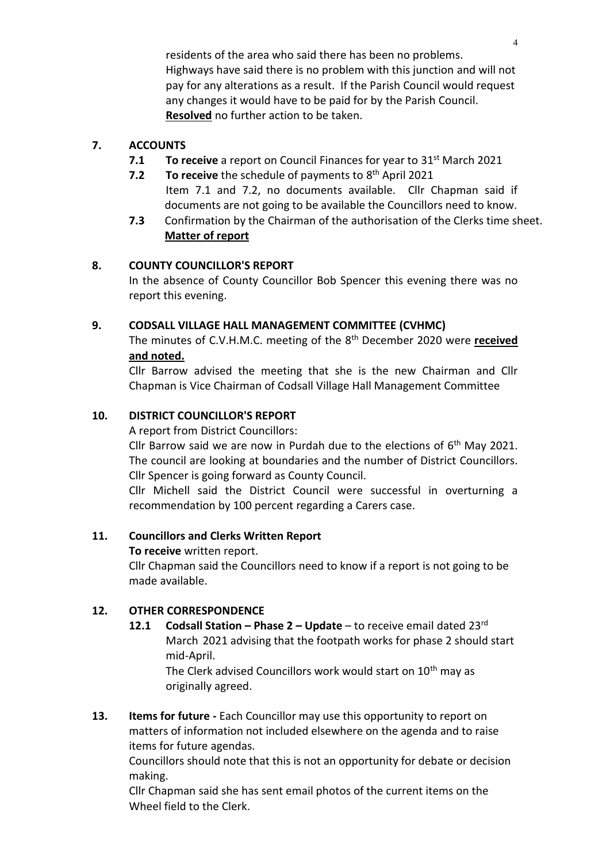residents of the area who said there has been no problems. Highways have said there is no problem with this junction and will not pay for any alterations as a result. If the Parish Council would request any changes it would have to be paid for by the Parish Council. **Resolved** no further action to be taken.

## **7. ACCOUNTS**

- **7.1 To receive** a report on Council Finances for year to 31<sup>st</sup> March 2021
- **7.2** To receive the schedule of payments to 8<sup>th</sup> April 2021 Item 7.1 and 7.2, no documents available. Cllr Chapman said if documents are not going to be available the Councillors need to know.
- **7.3** Confirmation by the Chairman of the authorisation of the Clerks time sheet. **Matter of report**

### **8. COUNTY COUNCILLOR'S REPORT**

In the absence of County Councillor Bob Spencer this evening there was no report this evening.

### **9. CODSALL VILLAGE HALL MANAGEMENT COMMITTEE (CVHMC)**

The minutes of C.V.H.M.C. meeting of the 8 th December 2020 were **received and noted.**

Cllr Barrow advised the meeting that she is the new Chairman and Cllr Chapman is Vice Chairman of Codsall Village Hall Management Committee

# **10. DISTRICT COUNCILLOR'S REPORT**

A report from District Councillors:

Cllr Barrow said we are now in Purdah due to the elections of  $6<sup>th</sup>$  May 2021. The council are looking at boundaries and the number of District Councillors. Cllr Spencer is going forward as County Council.

Cllr Michell said the District Council were successful in overturning a recommendation by 100 percent regarding a Carers case.

### **11. Councillors and Clerks Written Report**

**To receive** written report.

Cllr Chapman said the Councillors need to know if a report is not going to be made available.

# **12. OTHER CORRESPONDENCE**

**12.1 Codsall Station – Phase 2 – Update** – to receive email dated 23rd March 2021 advising that the footpath works for phase 2 should start mid-April.

The Clerk advised Councillors work would start on 10<sup>th</sup> may as originally agreed.

**13. Items for future -** Each Councillor may use this opportunity to report on matters of information not included elsewhere on the agenda and to raise items for future agendas.

Councillors should note that this is not an opportunity for debate or decision making.

Cllr Chapman said she has sent email photos of the current items on the Wheel field to the Clerk.